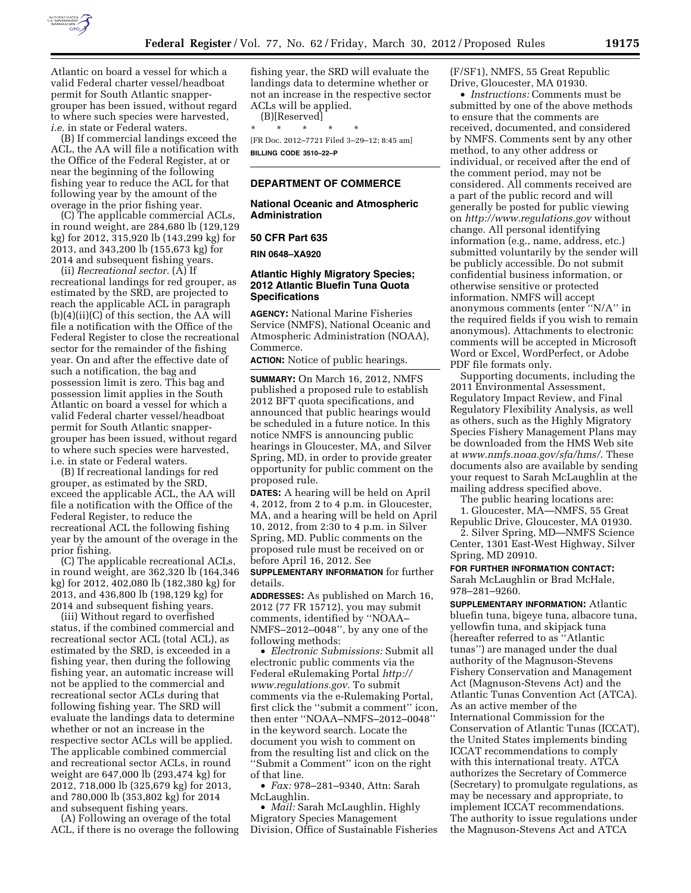

Atlantic on board a vessel for which a valid Federal charter vessel/headboat permit for South Atlantic snappergrouper has been issued, without regard to where such species were harvested, *i.e.* in state or Federal waters.

(B) If commercial landings exceed the ACL, the AA will file a notification with the Office of the Federal Register, at or near the beginning of the following fishing year to reduce the ACL for that following year by the amount of the overage in the prior fishing year.

(C) The applicable commercial ACLs, in round weight, are 284,680 lb (129,129 kg) for 2012, 315,920 lb (143,299 kg) for 2013, and 343,200 lb (155,673 kg) for 2014 and subsequent fishing years.

(ii) *Recreational sector.* (A) If recreational landings for red grouper, as estimated by the SRD, are projected to reach the applicable ACL in paragraph (b)(4)(ii)(C) of this section, the AA will file a notification with the Office of the Federal Register to close the recreational sector for the remainder of the fishing year. On and after the effective date of such a notification, the bag and possession limit is zero. This bag and possession limit applies in the South Atlantic on board a vessel for which a valid Federal charter vessel/headboat permit for South Atlantic snappergrouper has been issued, without regard to where such species were harvested, i.e. in state or Federal waters.

(B) If recreational landings for red grouper, as estimated by the SRD, exceed the applicable ACL, the AA will file a notification with the Office of the Federal Register, to reduce the recreational ACL the following fishing year by the amount of the overage in the prior fishing.

(C) The applicable recreational ACLs, in round weight, are 362,320 lb (164,346 kg) for 2012, 402,080 lb (182,380 kg) for 2013, and 436,800 lb (198,129 kg) for 2014 and subsequent fishing years.

(iii) Without regard to overfished status, if the combined commercial and recreational sector ACL (total ACL), as estimated by the SRD, is exceeded in a fishing year, then during the following fishing year, an automatic increase will not be applied to the commercial and recreational sector ACLs during that following fishing year. The SRD will evaluate the landings data to determine whether or not an increase in the respective sector ACLs will be applied. The applicable combined commercial and recreational sector ACLs, in round weight are 647,000 lb (293,474 kg) for 2012, 718,000 lb (325,679 kg) for 2013, and 780,000 lb (353,802 kg) for 2014 and subsequent fishing years.

(A) Following an overage of the total ACL, if there is no overage the following fishing year, the SRD will evaluate the landings data to determine whether or not an increase in the respective sector ACLs will be applied.

(B)[Reserved] \* \* \* \* \* [FR Doc. 2012–7721 Filed 3–29–12; 8:45 am] **BILLING CODE 3510–22–P** 

### **DEPARTMENT OF COMMERCE**

## **National Oceanic and Atmospheric Administration**

#### **50 CFR Part 635**

**RIN 0648–XA920** 

## **Atlantic Highly Migratory Species; 2012 Atlantic Bluefin Tuna Quota Specifications**

**AGENCY:** National Marine Fisheries Service (NMFS), National Oceanic and Atmospheric Administration (NOAA), Commerce.

**ACTION:** Notice of public hearings.

**SUMMARY:** On March 16, 2012, NMFS published a proposed rule to establish 2012 BFT quota specifications, and announced that public hearings would be scheduled in a future notice. In this notice NMFS is announcing public hearings in Gloucester, MA, and Silver Spring, MD, in order to provide greater opportunity for public comment on the proposed rule.

**DATES:** A hearing will be held on April 4, 2012, from 2 to 4 p.m. in Gloucester, MA, and a hearing will be held on April 10, 2012, from 2:30 to 4 p.m. in Silver Spring, MD. Public comments on the proposed rule must be received on or before April 16, 2012. See

**SUPPLEMENTARY INFORMATION** for further details.

**ADDRESSES:** As published on March 16, 2012 (77 FR 15712), you may submit comments, identified by ''NOAA– NMFS–2012–0048'', by any one of the following methods:

• *Electronic Submissions:* Submit all electronic public comments via the Federal eRulemaking Portal *[http://](http://www.regulations.gov) [www.regulations.gov.](http://www.regulations.gov)* To submit comments via the e-Rulemaking Portal, first click the ''submit a comment'' icon, then enter ''NOAA–NMFS–2012–0048'' in the keyword search. Locate the document you wish to comment on from the resulting list and click on the ''Submit a Comment'' icon on the right of that line.

• *Fax:* 978–281–9340, Attn: Sarah McLaughlin.

• *Mail:* Sarah McLaughlin, Highly Migratory Species Management Division, Office of Sustainable Fisheries (F/SF1), NMFS, 55 Great Republic Drive, Gloucester, MA 01930.

• *Instructions:* Comments must be submitted by one of the above methods to ensure that the comments are received, documented, and considered by NMFS. Comments sent by any other method, to any other address or individual, or received after the end of the comment period, may not be considered. All comments received are a part of the public record and will generally be posted for public viewing on *<http://www.regulations.gov>* without change. All personal identifying information (e.g., name, address, etc.) submitted voluntarily by the sender will be publicly accessible. Do not submit confidential business information, or otherwise sensitive or protected information. NMFS will accept anonymous comments (enter ''N/A'' in the required fields if you wish to remain anonymous). Attachments to electronic comments will be accepted in Microsoft Word or Excel, WordPerfect, or Adobe PDF file formats only.

Supporting documents, including the 2011 Environmental Assessment, Regulatory Impact Review, and Final Regulatory Flexibility Analysis, as well as others, such as the Highly Migratory Species Fishery Management Plans may be downloaded from the HMS Web site at *[www.nmfs.noaa.gov/sfa/hms/](http://www.nmfs.noaa.gov/sfa/hms/)*. These documents also are available by sending your request to Sarah McLaughlin at the mailing address specified above.

The public hearing locations are:

1. Gloucester, MA—NMFS, 55 Great Republic Drive, Gloucester, MA 01930.

2. Silver Spring, MD—NMFS Science Center, 1301 East-West Highway, Silver Spring, MD 20910.

**FOR FURTHER INFORMATION CONTACT:** 

Sarah McLaughlin or Brad McHale, 978–281–9260.

**SUPPLEMENTARY INFORMATION:** Atlantic bluefin tuna, bigeye tuna, albacore tuna, yellowfin tuna, and skipjack tuna (hereafter referred to as ''Atlantic tunas'') are managed under the dual authority of the Magnuson-Stevens Fishery Conservation and Management Act (Magnuson-Stevens Act) and the Atlantic Tunas Convention Act (ATCA). As an active member of the International Commission for the Conservation of Atlantic Tunas (ICCAT), the United States implements binding ICCAT recommendations to comply with this international treaty. ATCA authorizes the Secretary of Commerce (Secretary) to promulgate regulations, as may be necessary and appropriate, to implement ICCAT recommendations. The authority to issue regulations under the Magnuson-Stevens Act and ATCA